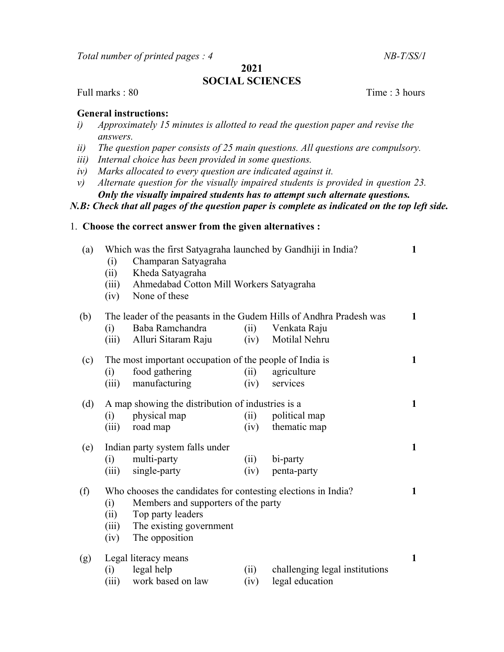Total number of printed pages : 4 NB-T/SS/1

# 2021

# SOCIAL SCIENCES

Full marks : 80 Time : 3 hours

# General instructions:

- i) Approximately 15 minutes is allotted to read the question paper and revise the answers.
- ii) The question paper consists of 25 main questions. All questions are compulsory.
- iii) Internal choice has been provided in some questions.
- iv) Marks allocated to every question are indicated against it.
- v) Alternate question for the visually impaired students is provided in question 23. Only the visually impaired students has to attempt such alternate questions.

#### N.B: Check that all pages of the question paper is complete as indicated on the top left side.

### 1. Choose the correct answer from the given alternatives :

| (a) | (i)<br>(ii)<br>(iii)<br>(iv)                                        | Which was the first Satyagraha launched by Gandhiji in India?<br>Champaran Satyagraha<br>Kheda Satyagraha<br>Ahmedabad Cotton Mill Workers Satyagraha<br>None of these |              |                                                   | $\mathbf{1}$ |
|-----|---------------------------------------------------------------------|------------------------------------------------------------------------------------------------------------------------------------------------------------------------|--------------|---------------------------------------------------|--------------|
| (b) | The leader of the peasants in the Gudem Hills of Andhra Pradesh was |                                                                                                                                                                        |              |                                                   |              |
|     | (i)                                                                 | Baba Ramchandra                                                                                                                                                        | (ii)         | Venkata Raju                                      |              |
|     | (iii)                                                               | Alluri Sitaram Raju                                                                                                                                                    | (iv)         | Motilal Nehru                                     |              |
| (c) | The most important occupation of the people of India is             |                                                                                                                                                                        |              |                                                   |              |
|     | (i)                                                                 | food gathering                                                                                                                                                         | (ii)         | agriculture                                       |              |
|     | (iii)                                                               | manufacturing                                                                                                                                                          | (iv)         | services                                          |              |
| (d) | A map showing the distribution of industries is a                   |                                                                                                                                                                        |              |                                                   |              |
|     | (i)                                                                 | physical map                                                                                                                                                           | (ii)         | political map                                     |              |
|     | (iii)                                                               | road map                                                                                                                                                               | (iv)         | thematic map                                      |              |
| (e) |                                                                     | Indian party system falls under                                                                                                                                        |              |                                                   | $\mathbf{1}$ |
|     | (i)                                                                 | multi-party                                                                                                                                                            | (ii)         | bi-party                                          |              |
|     | (iii)                                                               | single-party                                                                                                                                                           | (iv)         | penta-party                                       |              |
| (f) | (i)<br>(ii)<br>(iii)<br>(iv)                                        | Who chooses the candidates for contesting elections in India?<br>Members and supporters of the party<br>Top party leaders<br>The existing government<br>The opposition |              |                                                   | 1            |
| (g) | (i)<br>(iii)                                                        | Legal literacy means<br>legal help<br>work based on law                                                                                                                | (ii)<br>(iv) | challenging legal institutions<br>legal education | 1            |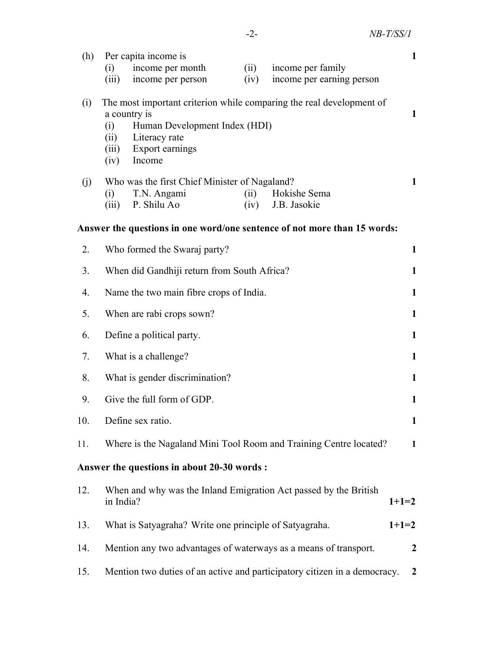| (h) | Per capita income is                                                      | $\mathbf{1}$     |  |  |  |  |
|-----|---------------------------------------------------------------------------|------------------|--|--|--|--|
|     | income per month<br>(i)<br>(ii)<br>income per family                      |                  |  |  |  |  |
|     | income per person<br>(iv)<br>income per earning person<br>(iii)           |                  |  |  |  |  |
| (i) | The most important criterion while comparing the real development of      |                  |  |  |  |  |
|     | a country is                                                              |                  |  |  |  |  |
|     | Human Development Index (HDI)<br>(i)<br>Literacy rate<br>(ii)             |                  |  |  |  |  |
|     | Export earnings<br>(iii)                                                  |                  |  |  |  |  |
|     | Income<br>(iv)                                                            |                  |  |  |  |  |
| (j) | Who was the first Chief Minister of Nagaland?                             | $\mathbf{1}$     |  |  |  |  |
|     | T.N. Angami<br>(ii)<br>Hokishe Sema<br>(i)                                |                  |  |  |  |  |
|     | P. Shilu Ao<br>(iv)<br>J.B. Jasokie<br>(iii)                              |                  |  |  |  |  |
|     | Answer the questions in one word/one sentence of not more than 15 words:  |                  |  |  |  |  |
| 2.  | Who formed the Swaraj party?                                              | $\mathbf{1}$     |  |  |  |  |
| 3.  | When did Gandhiji return from South Africa?<br>1                          |                  |  |  |  |  |
| 4.  | Name the two main fibre crops of India.<br>$\mathbf{1}$                   |                  |  |  |  |  |
| 5.  | When are rabi crops sown?<br>$\mathbf{1}$                                 |                  |  |  |  |  |
| 6.  | Define a political party.<br>$\mathbf{1}$                                 |                  |  |  |  |  |
| 7.  | What is a challenge?                                                      | 1                |  |  |  |  |
| 8.  | What is gender discrimination?<br>$\mathbf{1}$                            |                  |  |  |  |  |
| 9.  | Give the full form of GDP.<br>$\mathbf{1}$                                |                  |  |  |  |  |
| 10. | Define sex ratio.<br>1                                                    |                  |  |  |  |  |
| 11. | Where is the Nagaland Mini Tool Room and Training Centre located?         | $\mathbf{1}$     |  |  |  |  |
|     | Answer the questions in about 20-30 words :                               |                  |  |  |  |  |
| 12. | When and why was the Inland Emigration Act passed by the British          |                  |  |  |  |  |
|     | in India?                                                                 | $1+1=2$          |  |  |  |  |
| 13. | What is Satyagraha? Write one principle of Satyagraha.                    | $1+1=2$          |  |  |  |  |
| 14. | Mention any two advantages of waterways as a means of transport.          | $\boldsymbol{2}$ |  |  |  |  |
| 15. | Mention two duties of an active and participatory citizen in a democracy. | $\overline{2}$   |  |  |  |  |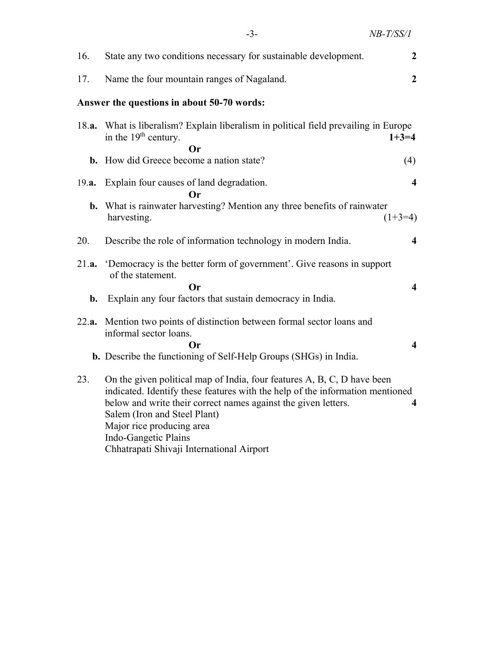|       | $-3-$                                                                                                                                                                                                                                                                                                           | NB-T/SS/1               |
|-------|-----------------------------------------------------------------------------------------------------------------------------------------------------------------------------------------------------------------------------------------------------------------------------------------------------------------|-------------------------|
| 16.   | State any two conditions necessary for sustainable development.                                                                                                                                                                                                                                                 | $\boldsymbol{2}$        |
| 17.   | Name the four mountain ranges of Nagaland.                                                                                                                                                                                                                                                                      | $\boldsymbol{2}$        |
|       | Answer the questions in about 50-70 words:                                                                                                                                                                                                                                                                      |                         |
| 18.a. | What is liberalism? Explain liberalism in political field prevailing in Europe<br>in the 19 <sup>th</sup> century.                                                                                                                                                                                              | $1+3=4$                 |
|       | Оr<br><b>b.</b> How did Greece become a nation state?                                                                                                                                                                                                                                                           | (4)                     |
| 19.a. | Explain four causes of land degradation.<br>Or                                                                                                                                                                                                                                                                  | $\overline{\mathbf{4}}$ |
| b.    | What is rainwater harvesting? Mention any three benefits of rainwater<br>harvesting.                                                                                                                                                                                                                            | $(1+3=4)$               |
| 20.   | Describe the role of information technology in modern India.                                                                                                                                                                                                                                                    | $\overline{\mathbf{4}}$ |
| 21.a. | 'Democracy is the better form of government'. Give reasons in support<br>of the statement.<br><b>Or</b>                                                                                                                                                                                                         | $\overline{\mathbf{4}}$ |
| b.    | Explain any four factors that sustain democracy in India.                                                                                                                                                                                                                                                       |                         |
| 22.a. | Mention two points of distinction between formal sector loans and<br>informal sector loans.<br>Or)                                                                                                                                                                                                              | $\overline{\mathbf{4}}$ |
|       | b. Describe the functioning of Self-Help Groups (SHGs) in India.                                                                                                                                                                                                                                                |                         |
| 23.   | On the given political map of India, four features A, B, C, D have been<br>indicated. Identify these features with the help of the information mentioned<br>below and write their correct names against the given letters.<br>Salem (Iron and Steel Plant)<br>Major rice producing area<br>Indo-Gangetic Plains | $\overline{\mathbf{4}}$ |

Chhatrapati Shivaji International Airport